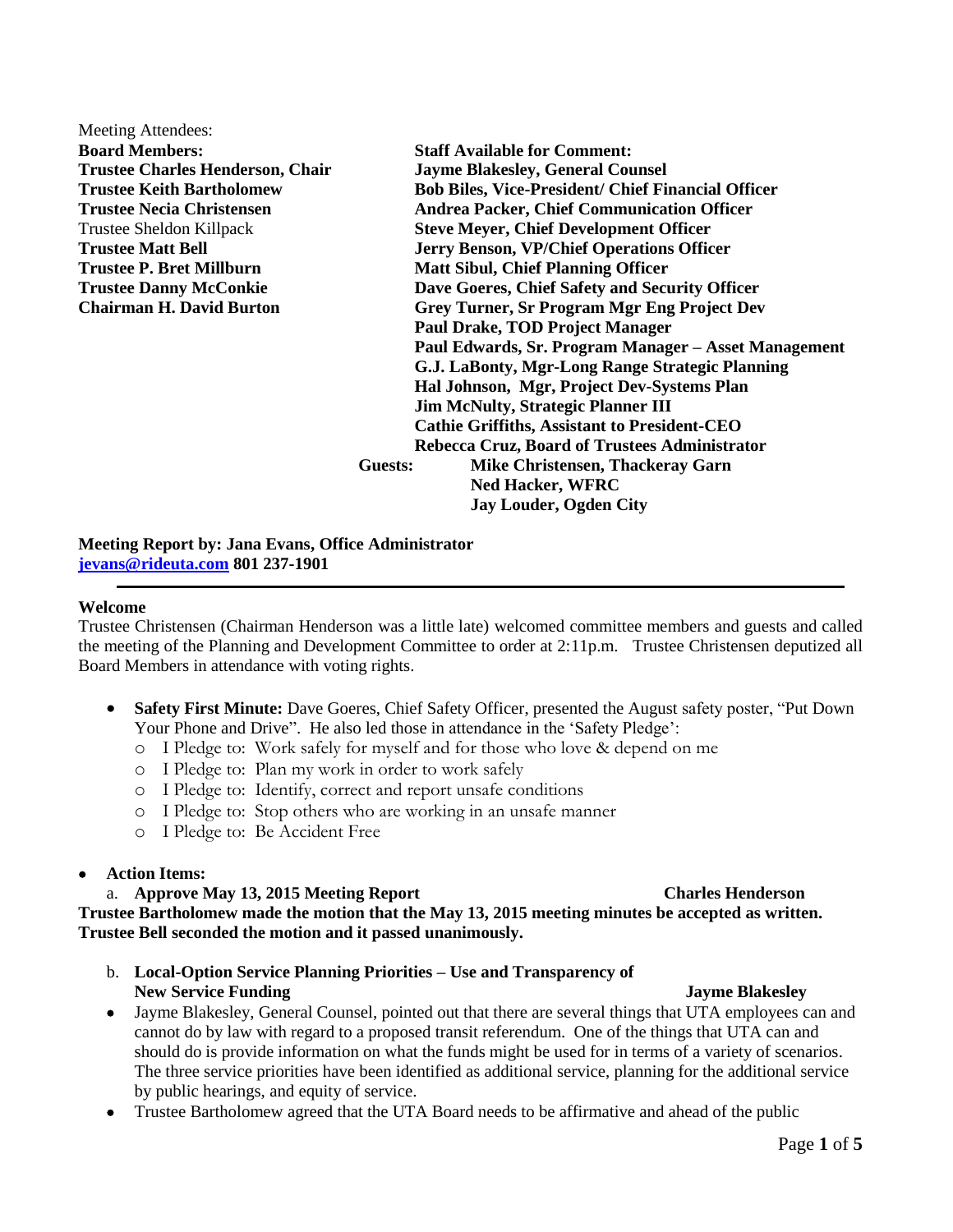Meeting Attendees: **Board Members: Staff Available for Comment:**

**Trustee Charles Henderson, Chair Jayme Blakesley, General Counsel Trustee Keith Bartholomew Bob Biles, Vice-President/ Chief Financial Officer Trustee Necia Christensen Andrea Packer, Chief Communication Officer** Trustee Sheldon Killpack **Steve Meyer, Chief Development Officer Trustee Matt Bell Jerry Benson, VP/Chief Operations Officer Trustee P. Bret Millburn Matt Sibul, Chief Planning Officer Trustee Danny McConkie Dave Goeres, Chief Safety and Security Officer Chairman H. David Burton Grey Turner, Sr Program Mgr Eng Project Dev Paul Drake, TOD Project Manager Paul Edwards, Sr. Program Manager – Asset Management G.J. LaBonty, Mgr-Long Range Strategic Planning Hal Johnson, Mgr, Project Dev-Systems Plan Jim McNulty, Strategic Planner III Cathie Griffiths, Assistant to President-CEO Rebecca Cruz, Board of Trustees Administrator Guests: Mike Christensen, Thackeray Garn Ned Hacker, WFRC Jay Louder, Ogden City**

**Meeting Report by: Jana Evans, Office Administrator [jevans@rideuta.com](mailto:jevans@rideuta.com) 801 237-1901**

### **Welcome**

Trustee Christensen (Chairman Henderson was a little late) welcomed committee members and guests and called the meeting of the Planning and Development Committee to order at 2:11p.m. Trustee Christensen deputized all Board Members in attendance with voting rights.

- **Safety First Minute:** Dave Goeres, Chief Safety Officer, presented the August safety poster, "Put Down Your Phone and Drive". He also led those in attendance in the 'Safety Pledge':
	- o I Pledge to: Work safely for myself and for those who love & depend on me
	- o I Pledge to: Plan my work in order to work safely
	- o I Pledge to: Identify, correct and report unsafe conditions
	- o I Pledge to: Stop others who are working in an unsafe manner
	- o I Pledge to: Be Accident Free

## **Action Items:**

a. **Approve May 13, 2015 Meeting Report Charles Henderson Trustee Bartholomew made the motion that the May 13, 2015 meeting minutes be accepted as written. Trustee Bell seconded the motion and it passed unanimously.**

- b. **Local-Option Service Planning Priorities – Use and Transparency of New Service Funding Iayme Blakesley**
- Jayme Blakesley, General Counsel, pointed out that there are several things that UTA employees can and cannot do by law with regard to a proposed transit referendum. One of the things that UTA can and should do is provide information on what the funds might be used for in terms of a variety of scenarios. The three service priorities have been identified as additional service, planning for the additional service by public hearings, and equity of service.
- Trustee Bartholomew agreed that the UTA Board needs to be affirmative and ahead of the public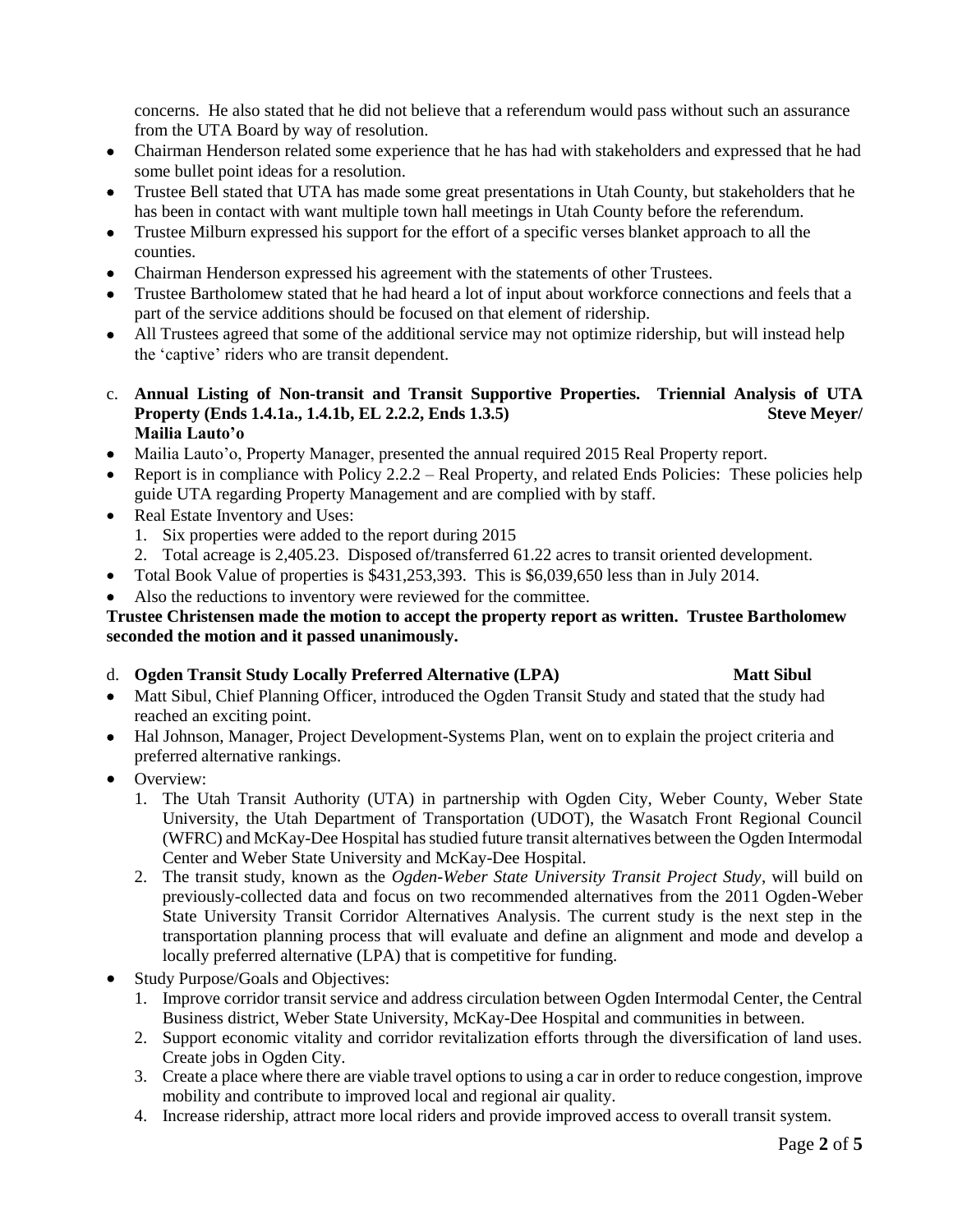concerns. He also stated that he did not believe that a referendum would pass without such an assurance from the UTA Board by way of resolution.

- Chairman Henderson related some experience that he has had with stakeholders and expressed that he had some bullet point ideas for a resolution.
- Trustee Bell stated that UTA has made some great presentations in Utah County, but stakeholders that he has been in contact with want multiple town hall meetings in Utah County before the referendum.
- Trustee Milburn expressed his support for the effort of a specific verses blanket approach to all the counties.
- Chairman Henderson expressed his agreement with the statements of other Trustees.
- Trustee Bartholomew stated that he had heard a lot of input about workforce connections and feels that a part of the service additions should be focused on that element of ridership.
- All Trustees agreed that some of the additional service may not optimize ridership, but will instead help the 'captive' riders who are transit dependent.
- c. **Annual Listing of Non-transit and Transit Supportive Properties. Triennial Analysis of UTA Property (Ends 1.4.1a., 1.4.1b, EL 2.2.2, Ends 1.3.5)** Steve Meyer/ **Mailia Lauto'o**
- Mailia Lauto'o, Property Manager, presented the annual required 2015 Real Property report.
- Report is in compliance with Policy  $2.2.2$  Real Property, and related Ends Policies: These policies help guide UTA regarding Property Management and are complied with by staff.
- Real Estate Inventory and Uses:
	- 1. Six properties were added to the report during 2015
	- 2. Total acreage is 2,405.23. Disposed of/transferred 61.22 acres to transit oriented development.
- Total Book Value of properties is \$431,253,393. This is \$6,039,650 less than in July 2014.
- Also the reductions to inventory were reviewed for the committee.

## **Trustee Christensen made the motion to accept the property report as written. Trustee Bartholomew seconded the motion and it passed unanimously.**

- d. **Ogden Transit Study Locally Preferred Alternative (LPA)** Matt Sibul
- Matt Sibul, Chief Planning Officer, introduced the Ogden Transit Study and stated that the study had reached an exciting point.
- Hal Johnson, Manager, Project Development-Systems Plan, went on to explain the project criteria and preferred alternative rankings.
- Overview:
	- 1. The Utah Transit Authority (UTA) in partnership with Ogden City, Weber County, Weber State University, the Utah Department of Transportation (UDOT), the Wasatch Front Regional Council (WFRC) and McKay-Dee Hospital has studied future transit alternatives between the Ogden Intermodal Center and Weber State University and McKay-Dee Hospital.
	- 2. The transit study, known as the *Ogden-Weber State University Transit Project Study*, will build on previously-collected data and focus on two recommended alternatives from the 2011 Ogden-Weber State University Transit Corridor Alternatives Analysis. The current study is the next step in the transportation planning process that will evaluate and define an alignment and mode and develop a locally preferred alternative (LPA) that is competitive for funding.
- Study Purpose/Goals and Objectives:
	- 1. Improve corridor transit service and address circulation between Ogden Intermodal Center, the Central Business district, Weber State University, McKay-Dee Hospital and communities in between.
	- 2. Support economic vitality and corridor revitalization efforts through the diversification of land uses. Create jobs in Ogden City.
	- 3. Create a place where there are viable travel options to using a car in order to reduce congestion, improve mobility and contribute to improved local and regional air quality.
	- 4. Increase ridership, attract more local riders and provide improved access to overall transit system.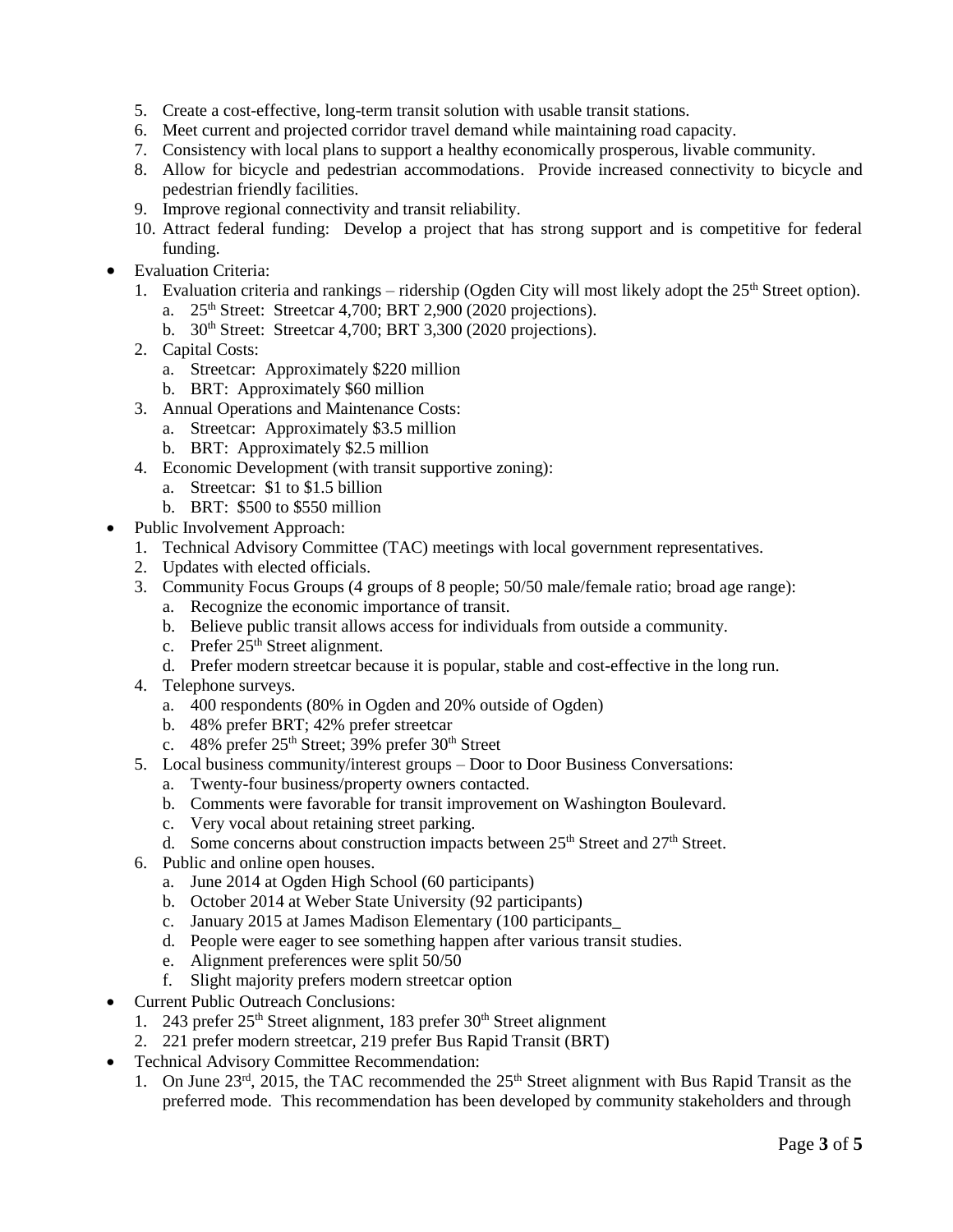- 5. Create a cost-effective, long-term transit solution with usable transit stations.
- 6. Meet current and projected corridor travel demand while maintaining road capacity.
- 7. Consistency with local plans to support a healthy economically prosperous, livable community.
- 8. Allow for bicycle and pedestrian accommodations. Provide increased connectivity to bicycle and pedestrian friendly facilities.
- 9. Improve regional connectivity and transit reliability.
- 10. Attract federal funding: Develop a project that has strong support and is competitive for federal funding.
- Evaluation Criteria:
	- 1. Evaluation criteria and rankings ridership (Ogden City will most likely adopt the  $25<sup>th</sup>$  Street option).
		- a.  $25<sup>th</sup> Street: Streetcar 4,700; BRT 2,900 (2020 projections).$
		- b. 30<sup>th</sup> Street: Streetcar 4,700; BRT 3,300 (2020 projections).
	- 2. Capital Costs:
		- a. Streetcar: Approximately \$220 million
		- b. BRT: Approximately \$60 million
	- 3. Annual Operations and Maintenance Costs:
		- a. Streetcar: Approximately \$3.5 million
		- b. BRT: Approximately \$2.5 million
	- 4. Economic Development (with transit supportive zoning):
		- a. Streetcar: \$1 to \$1.5 billion
		- b. BRT: \$500 to \$550 million
- Public Involvement Approach:
	- 1. Technical Advisory Committee (TAC) meetings with local government representatives.
	- 2. Updates with elected officials.
	- 3. Community Focus Groups (4 groups of 8 people; 50/50 male/female ratio; broad age range):
		- a. Recognize the economic importance of transit.
			- b. Believe public transit allows access for individuals from outside a community.
			- c. Prefer  $25<sup>th</sup>$  Street alignment.
		- d. Prefer modern streetcar because it is popular, stable and cost-effective in the long run.
	- 4. Telephone surveys.
		- a. 400 respondents (80% in Ogden and 20% outside of Ogden)
		- b. 48% prefer BRT; 42% prefer streetcar
		- c.  $48\%$  prefer  $25<sup>th</sup>$  Street; 39% prefer  $30<sup>th</sup>$  Street
	- 5. Local business community/interest groups Door to Door Business Conversations:
		- a. Twenty-four business/property owners contacted.
		- b. Comments were favorable for transit improvement on Washington Boulevard.
		- c. Very vocal about retaining street parking.
		- d. Some concerns about construction impacts between  $25<sup>th</sup>$  Street and  $27<sup>th</sup>$  Street.
	- 6. Public and online open houses.
		- a. June 2014 at Ogden High School (60 participants)
		- b. October 2014 at Weber State University (92 participants)
		- c. January 2015 at James Madison Elementary (100 participants\_
		- d. People were eager to see something happen after various transit studies.
		- e. Alignment preferences were split 50/50
		- f. Slight majority prefers modern streetcar option
- Current Public Outreach Conclusions:
	- 1. 243 prefer  $25<sup>th</sup>$  Street alignment, 183 prefer  $30<sup>th</sup>$  Street alignment
	- 2. 221 prefer modern streetcar, 219 prefer Bus Rapid Transit (BRT)
- Technical Advisory Committee Recommendation:
	- 1. On June  $23<sup>rd</sup>$ , 2015, the TAC recommended the  $25<sup>th</sup>$  Street alignment with Bus Rapid Transit as the preferred mode. This recommendation has been developed by community stakeholders and through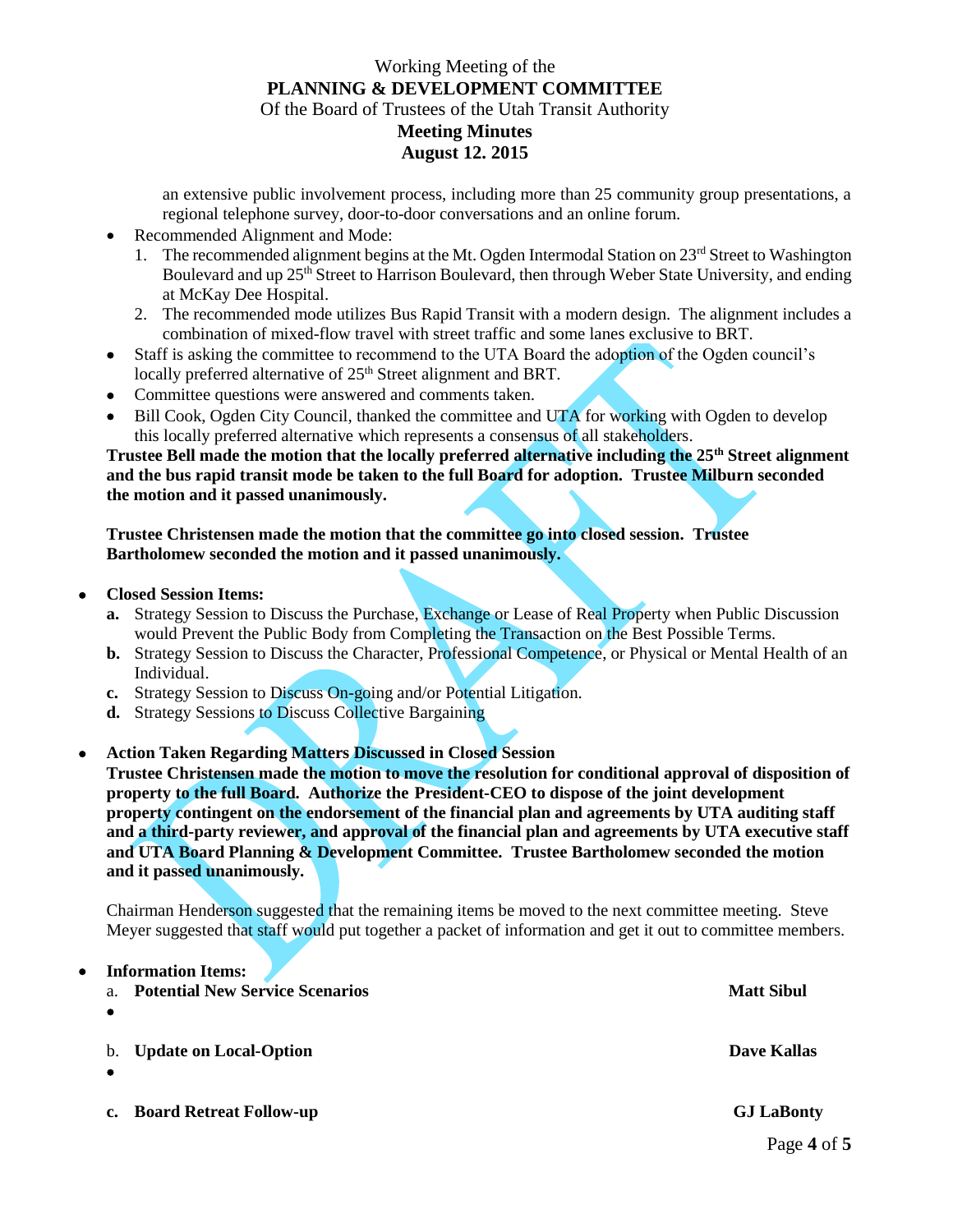## Working Meeting of the **PLANNING & DEVELOPMENT COMMITTEE** Of the Board of Trustees of the Utah Transit Authority **Meeting Minutes August 12. 2015**

an extensive public involvement process, including more than 25 community group presentations, a regional telephone survey, door-to-door conversations and an online forum.

- Recommended Alignment and Mode:
	- 1. The recommended alignment begins at the Mt. Ogden Intermodal Station on 23rd Street to Washington Boulevard and up 25<sup>th</sup> Street to Harrison Boulevard, then through Weber State University, and ending at McKay Dee Hospital.
	- 2. The recommended mode utilizes Bus Rapid Transit with a modern design. The alignment includes a combination of mixed-flow travel with street traffic and some lanes exclusive to BRT.
- Staff is asking the committee to recommend to the UTA Board the adoption of the Ogden council's locally preferred alternative of 25<sup>th</sup> Street alignment and BRT.
- Committee questions were answered and comments taken.
- Bill Cook, Ogden City Council, thanked the committee and UTA for working with Ogden to develop this locally preferred alternative which represents a consensus of all stakeholders.

**Trustee Bell made the motion that the locally preferred alternative including the 25th Street alignment and the bus rapid transit mode be taken to the full Board for adoption. Trustee Milburn seconded the motion and it passed unanimously.**

**Trustee Christensen made the motion that the committee go into closed session. Trustee Bartholomew seconded the motion and it passed unanimously.**

**Closed Session Items:** 

**Information Items:**

- **a.** Strategy Session to Discuss the Purchase, Exchange or Lease of Real Property when Public Discussion would Prevent the Public Body from Completing the Transaction on the Best Possible Terms.
- **b.** Strategy Session to Discuss the Character, Professional Competence, or Physical or Mental Health of an Individual.
- **c.** Strategy Session to Discuss On-going and/or Potential Litigation.
- **d.** Strategy Sessions to Discuss Collective Bargaining
- **Action Taken Regarding Matters Discussed in Closed Session**

**Trustee Christensen made the motion to move the resolution for conditional approval of disposition of property to the full Board. Authorize the President-CEO to dispose of the joint development property contingent on the endorsement of the financial plan and agreements by UTA auditing staff and a third-party reviewer, and approval of the financial plan and agreements by UTA executive staff and UTA Board Planning & Development Committee. Trustee Bartholomew seconded the motion and it passed unanimously.**

Chairman Henderson suggested that the remaining items be moved to the next committee meeting. Steve Meyer suggested that staff would put together a packet of information and get it out to committee members.

| a. | <b>INFORMATION LIGHTS:</b><br><b>Potential New Service Scenarios</b> | <b>Matt Sibul</b> |
|----|----------------------------------------------------------------------|-------------------|
| b. | <b>Update on Local-Option</b>                                        | Dave Kallas       |
| c. | <b>Board Retreat Follow-up</b>                                       | <b>GJ LaBonty</b> |

Page **4** of **5**